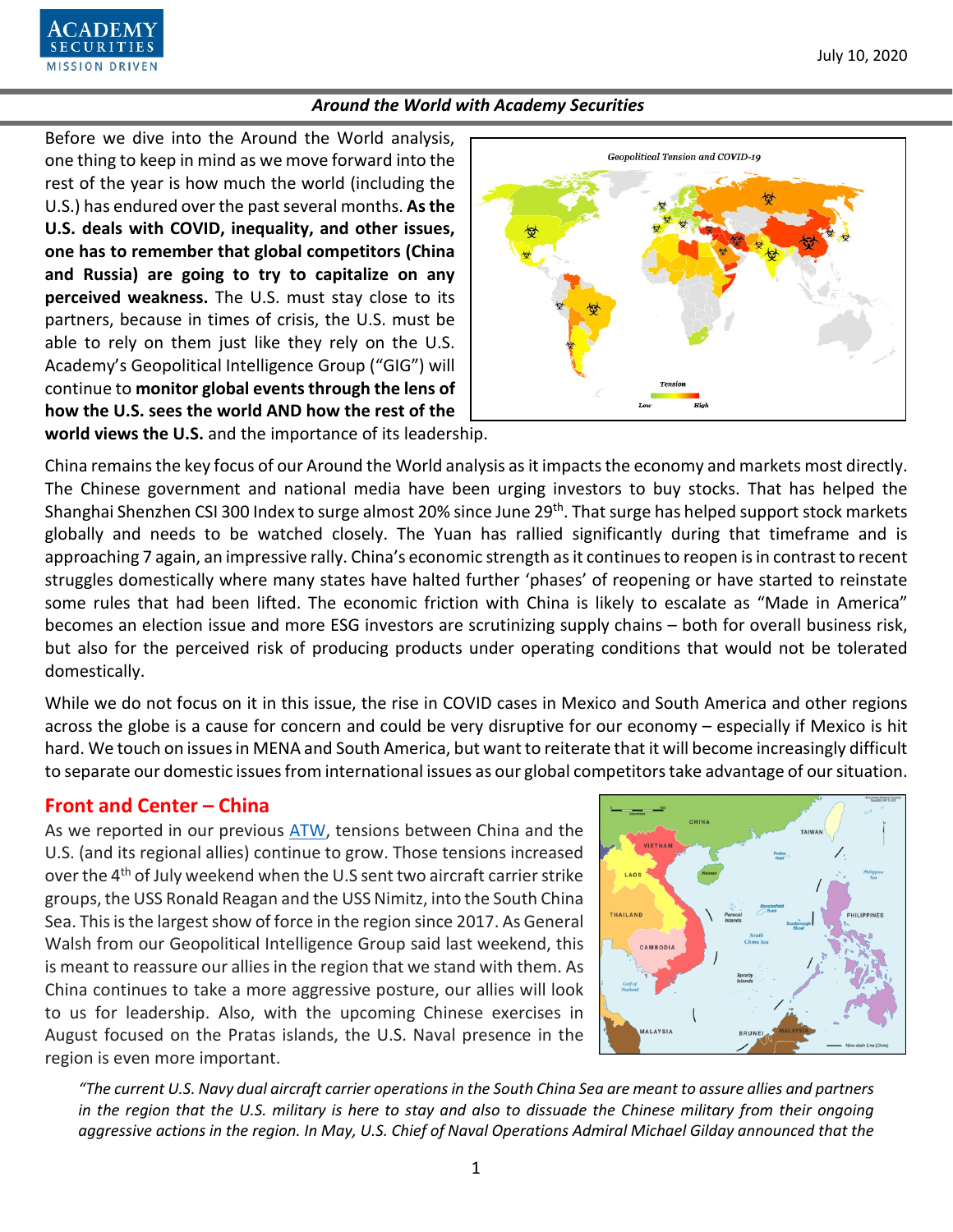Before we dive into the Around the World analysis, one thing to keep in mind as we move forward into the rest of the year is how much the world (including the U.S.) has endured over the past several months. **As the U.S. deals with COVID, inequality, and other issues, one has to remember that global competitors (China and Russia) are going to try to capitalize on any perceived weakness.** The U.S. must stay close to its partners, because in times of crisis, the U.S. must be able to rely on them just like they rely on the U.S. Academy's Geopolitical Intelligence Group ("GIG") will continue to **monitor global events through the lens of how the U.S. sees the world AND how the rest of the** 

**MISSION DRIVEN** 



**world views the U.S.** and the importance of its leadership.

China remains the key focus of our Around the World analysis as it impacts the economy and markets most directly. The Chinese government and national media have been urging investors to buy stocks. That has helped the Shanghai Shenzhen CSI 300 Index to surge almost 20% since June 29<sup>th</sup>. That surge has helped support stock markets globally and needs to be watched closely. The Yuan has rallied significantly during that timeframe and is approaching 7 again, an impressive rally. China's economic strength as it continuesto reopen is in contrast to recent struggles domestically where many states have halted further 'phases' of reopening or have started to reinstate some rules that had been lifted. The economic friction with China is likely to escalate as "Made in America" becomes an election issue and more ESG investors are scrutinizing supply chains – both for overall business risk, but also for the perceived risk of producing products under operating conditions that would not be tolerated domestically.

While we do not focus on it in this issue, the rise in COVID cases in Mexico and South America and other regions across the globe is a cause for concern and could be very disruptive for our economy – especially if Mexico is hit hard. We touch on issues in MENA and South America, but want to reiterate that it will become increasingly difficult to separate our domestic issues from international issues as our global competitors take advantage of our situation.

# **Front and Center – China**

As we reported in our previous [ATW,](https://www.academysecurities.com/wordpress/wp-content/uploads/2020/06/Around-the-World-with-Academy-Securities_6-19-20-1.pdf) tensions between China and the U.S. (and its regional allies) continue to grow. Those tensions increased over the 4<sup>th</sup> of July weekend when the U.S sent two aircraft carrier strike groups, the USS Ronald Reagan and the USS Nimitz, into the South China Sea. This is the largest show of force in the region since 2017. As General Walsh from our Geopolitical Intelligence Group said last weekend, this is meant to reassure our allies in the region that we stand with them. As China continues to take a more aggressive posture, our allies will look to us for leadership. Also, with the upcoming Chinese exercises in August focused on the Pratas islands, the U.S. Naval presence in the region is even more important.



*"The current U.S. Navy dual aircraft carrier operations in the South China Sea are meant to assure allies and partners in the region that the U.S. military is here to stay and also to dissuade the Chinese military from their ongoing aggressive actions in the region. In May, U.S. Chief of Naval Operations Admiral Michael Gilday announced that the*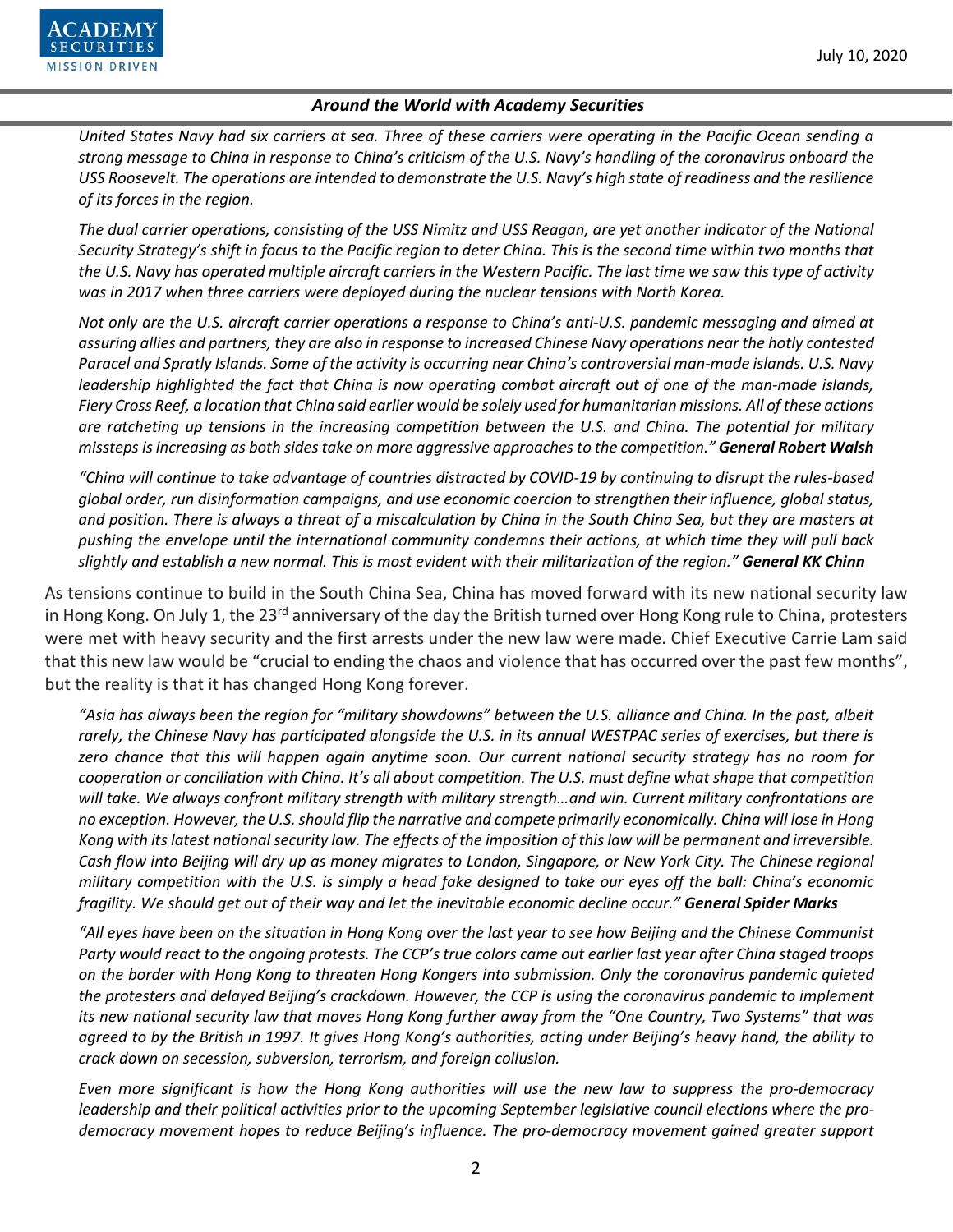

*United States Navy had six carriers at sea. Three of these carriers were operating in the Pacific Ocean sending a strong message to China in response to China's criticism of the U.S. Navy's handling of the coronavirus onboard the USS Roosevelt. The operations are intended to demonstrate the U.S. Navy's high state of readiness and the resilience of its forces in the region.*

*The dual carrier operations, consisting of the USS Nimitz and USS Reagan, are yet another indicator of the National Security Strategy's shift in focus to the Pacific region to deter China. This is the second time within two months that the U.S. Navy has operated multiple aircraft carriers in the Western Pacific. The last time we saw this type of activity was in 2017 when three carriers were deployed during the nuclear tensions with North Korea.*

*Not only are the U.S. aircraft carrier operations a response to China's anti-U.S. pandemic messaging and aimed at assuring allies and partners, they are also in response to increased Chinese Navy operations near the hotly contested Paracel and Spratly Islands. Some of the activity is occurring near China's controversial man-made islands. U.S. Navy leadership highlighted the fact that China is now operating combat aircraft out of one of the man-made islands, Fiery Cross Reef, a location that China said earlier would be solely used for humanitarian missions. All of these actions are ratcheting up tensions in the increasing competition between the U.S. and China. The potential for military missteps is increasing as both sides take on more aggressive approaches to the competition." General Robert Walsh*

*"China will continue to take advantage of countries distracted by COVID-19 by continuing to disrupt the rules-based global order, run disinformation campaigns, and use economic coercion to strengthen their influence, global status, and position. There is always a threat of a miscalculation by China in the South China Sea, but they are masters at pushing the envelope until the international community condemns their actions, at which time they will pull back slightly and establish a new normal. This is most evident with their militarization of the region." General KK Chinn*

As tensions continue to build in the South China Sea, China has moved forward with its new national security law in Hong Kong. On July 1, the 23<sup>rd</sup> anniversary of the day the British turned over Hong Kong rule to China, protesters were met with heavy security and the first arrests under the new law were made. Chief Executive Carrie Lam said that this new law would be "crucial to ending the chaos and violence that has occurred over the past few months", but the reality is that it has changed Hong Kong forever.

*"Asia has always been the region for "military showdowns" between the U.S. alliance and China. In the past, albeit rarely, the Chinese Navy has participated alongside the U.S. in its annual WESTPAC series of exercises, but there is zero chance that this will happen again anytime soon. Our current national security strategy has no room for cooperation or conciliation with China. It's all about competition. The U.S. must define what shape that competition will take. We always confront military strength with military strength…and win. Current military confrontations are no exception. However, the U.S.should flip the narrative and compete primarily economically. China will lose in Hong Kong with its latest national security law. The effects of the imposition of this law will be permanent and irreversible. Cash flow into Beijing will dry up as money migrates to London, Singapore, or New York City. The Chinese regional military competition with the U.S. is simply a head fake designed to take our eyes off the ball: China's economic fragility. We should get out of their way and let the inevitable economic decline occur." General Spider Marks*

*"All eyes have been on the situation in Hong Kong over the last year to see how Beijing and the Chinese Communist Party would react to the ongoing protests. The CCP's true colors came out earlier last year after China staged troops on the border with Hong Kong to threaten Hong Kongers into submission. Only the coronavirus pandemic quieted the protesters and delayed Beijing's crackdown. However, the CCP is using the coronavirus pandemic to implement its new national security law that moves Hong Kong further away from the "One Country, Two Systems" that was agreed to by the British in 1997. It gives Hong Kong's authorities, acting under Beijing's heavy hand, the ability to crack down on secession, subversion, terrorism, and foreign collusion.*

*Even more significant is how the Hong Kong authorities will use the new law to suppress the pro-democracy leadership and their political activities prior to the upcoming September legislative council elections where the prodemocracy movement hopes to reduce Beijing's influence. The pro-democracy movement gained greater support*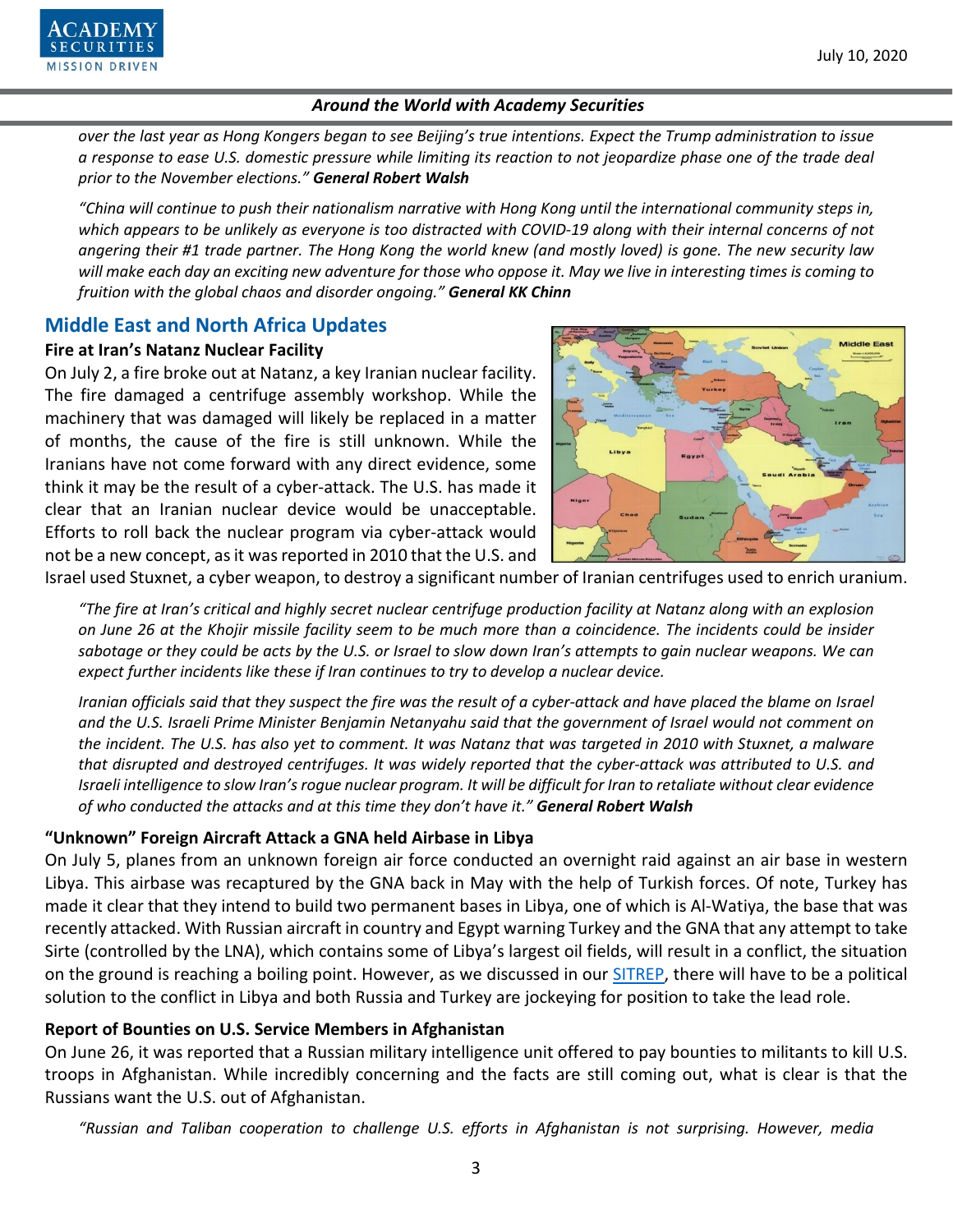

*over the last year as Hong Kongers began to see Beijing's true intentions. Expect the Trump administration to issue a response to ease U.S. domestic pressure while limiting its reaction to not jeopardize phase one of the trade deal prior to the November elections." General Robert Walsh*

*"China will continue to push their nationalism narrative with Hong Kong until the international community steps in,*  which appears to be unlikely as everyone is too distracted with COVID-19 along with their internal concerns of not *angering their #1 trade partner. The Hong Kong the world knew (and mostly loved) is gone. The new security law will make each day an exciting new adventure for those who oppose it. May we live in interesting times is coming to fruition with the global chaos and disorder ongoing." General KK Chinn*

# **Middle East and North Africa Updates**

#### **Fire at Iran's Natanz Nuclear Facility**

On July 2, a fire broke out at Natanz, a key Iranian nuclear facility. The fire damaged a centrifuge assembly workshop. While the machinery that was damaged will likely be replaced in a matter of months, the cause of the fire is still unknown. While the Iranians have not come forward with any direct evidence, some think it may be the result of a cyber-attack. The U.S. has made it clear that an Iranian nuclear device would be unacceptable. Efforts to roll back the nuclear program via cyber-attack would not be a new concept, as it was reported in 2010 that the U.S. and



Israel used Stuxnet, a cyber weapon, to destroy a significant number of Iranian centrifuges used to enrich uranium.

*"The fire at Iran's critical and highly secret nuclear centrifuge production facility at Natanz along with an explosion on June 26 at the Khojir missile facility seem to be much more than a coincidence. The incidents could be insider sabotage or they could be acts by the U.S. or Israel to slow down Iran's attempts to gain nuclear weapons. We can expect further incidents like these if Iran continues to try to develop a nuclear device.*

*Iranian officials said that they suspect the fire was the result of a cyber-attack and have placed the blame on Israel and the U.S. Israeli Prime Minister Benjamin Netanyahu said that the government of Israel would not comment on the incident. The U.S. has also yet to comment. It was Natanz that was targeted in 2010 with Stuxnet, a malware that disrupted and destroyed centrifuges. It was widely reported that the cyber-attack was attributed to U.S. and Israeli intelligence to slow Iran's rogue nuclear program. It will be difficult for Iran to retaliate without clear evidence of who conducted the attacks and at this time they don't have it." General Robert Walsh*

# **"Unknown" Foreign Aircraft Attack a GNA held Airbase in Libya**

On July 5, planes from an unknown foreign air force conducted an overnight raid against an air base in western Libya. This airbase was recaptured by the GNA back in May with the help of Turkish forces. Of note, Turkey has made it clear that they intend to build two permanent bases in Libya, one of which is Al-Watiya, the base that was recently attacked. With Russian aircraft in country and Egypt warning Turkey and the GNA that any attempt to take Sirte (controlled by the LNA), which contains some of Libya's largest oil fields, will result in a conflict, the situation on the ground is reaching a boiling point. However, as we discussed in our **SITREP**, there will have to be a political solution to the conflict in Libya and both Russia and Turkey are jockeying for position to take the lead role.

# **Report of Bounties on U.S. Service Members in Afghanistan**

On June 26, it was reported that a Russian military intelligence unit offered to pay bounties to militants to kill U.S. troops in Afghanistan. While incredibly concerning and the facts are still coming out, what is clear is that the Russians want the U.S. out of Afghanistan.

*"Russian and Taliban cooperation to challenge U.S. efforts in Afghanistan is not surprising. However, media*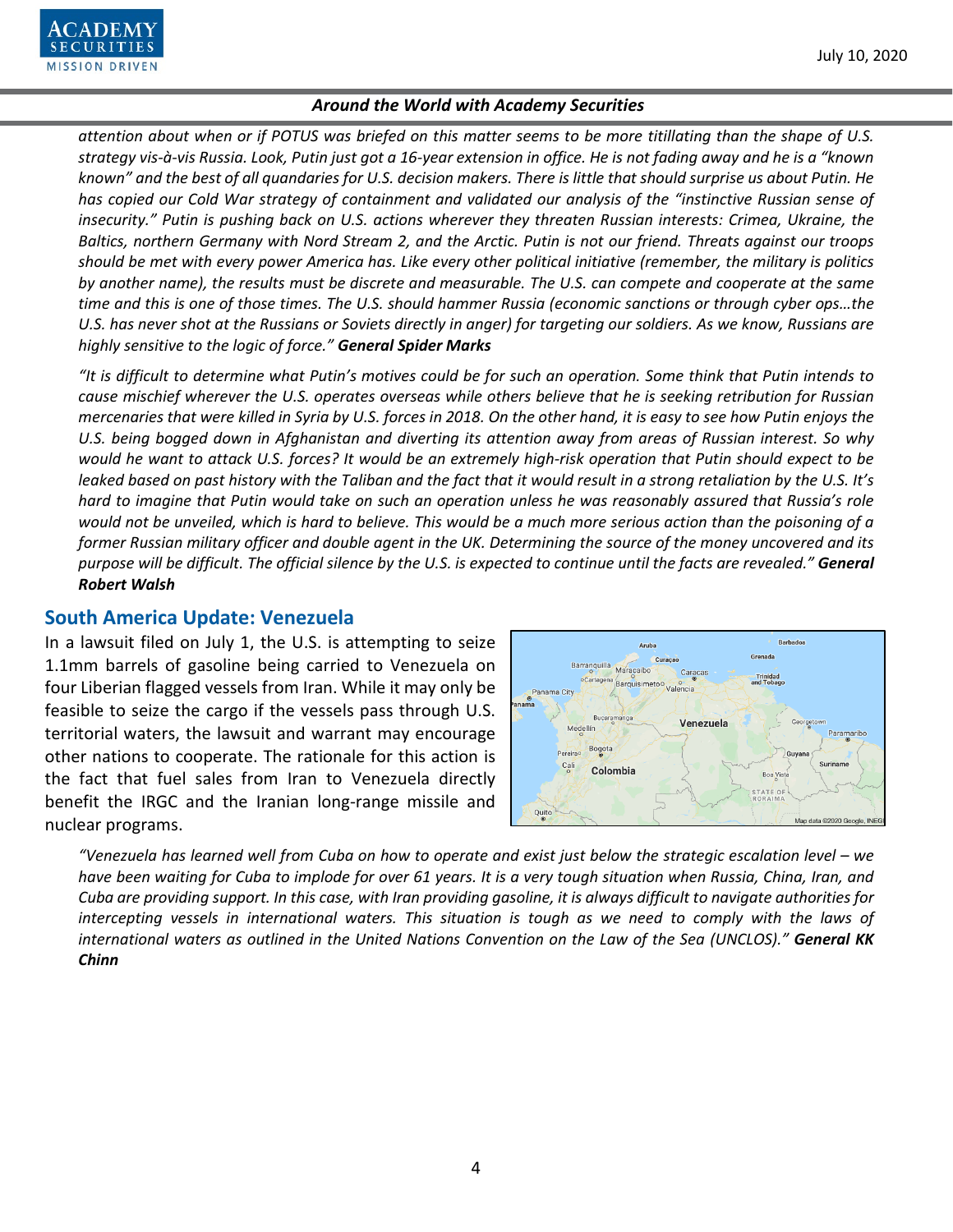

*attention about when or if POTUS was briefed on this matter seems to be more titillating than the shape of U.S. strategy vis-à-vis Russia. Look, Putin just got a 16-year extension in office. He is not fading away and he is a "known known" and the best of all quandaries for U.S. decision makers. There is little that should surprise us about Putin. He has copied our Cold War strategy of containment and validated our analysis of the "instinctive Russian sense of insecurity." Putin is pushing back on U.S. actions wherever they threaten Russian interests: Crimea, Ukraine, the Baltics, northern Germany with Nord Stream 2, and the Arctic. Putin is not our friend. Threats against our troops should be met with every power America has. Like every other political initiative (remember, the military is politics by another name), the results must be discrete and measurable. The U.S. can compete and cooperate at the same time and this is one of those times. The U.S. should hammer Russia (economic sanctions or through cyber ops…the U.S. has never shot at the Russians or Soviets directly in anger) for targeting our soldiers. As we know, Russians are highly sensitive to the logic of force." General Spider Marks*

*"It is difficult to determine what Putin's motives could be for such an operation. Some think that Putin intends to cause mischief wherever the U.S. operates overseas while others believe that he is seeking retribution for Russian mercenaries that were killed in Syria by U.S. forces in 2018. On the other hand, it is easy to see how Putin enjoys the U.S. being bogged down in Afghanistan and diverting its attention away from areas of Russian interest. So why would he want to attack U.S. forces? It would be an extremely high-risk operation that Putin should expect to be leaked based on past history with the Taliban and the fact that it would result in a strong retaliation by the U.S. It's hard to imagine that Putin would take on such an operation unless he was reasonably assured that Russia's role would not be unveiled, which is hard to believe. This would be a much more serious action than the poisoning of a former Russian military officer and double agent in the UK. Determining the source of the money uncovered and its purpose will be difficult. The official silence by the U.S. is expected to continue until the facts are revealed." General Robert Walsh*

#### **South America Update: Venezuela**

In a lawsuit filed on July 1, the U.S. is attempting to seize 1.1mm barrels of gasoline being carried to Venezuela on four Liberian flagged vessels from Iran. While it may only be feasible to seize the cargo if the vessels pass through U.S. territorial waters, the lawsuit and warrant may encourage other nations to cooperate. The rationale for this action is the fact that fuel sales from Iran to Venezuela directly benefit the IRGC and the Iranian long-range missile and nuclear programs.



*"Venezuela has learned well from Cuba on how to operate and exist just below the strategic escalation level – we have been waiting for Cuba to implode for over 61 years. It is a very tough situation when Russia, China, Iran, and Cuba are providing support. In this case, with Iran providing gasoline, it is always difficult to navigate authorities for intercepting vessels in international waters. This situation is tough as we need to comply with the laws of international waters as outlined in the United Nations Convention on the Law of the Sea (UNCLOS)." General KK Chinn*